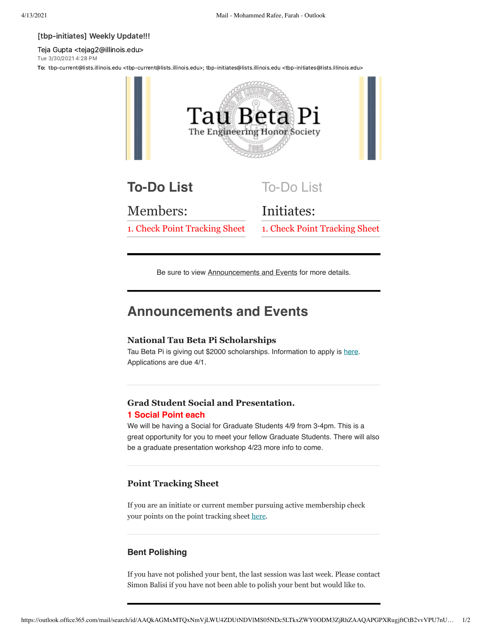#### [tbp-initiates] Weekly Update!!!

Teja Gupta <tejag2@illinois.edu> Tue 3/30/2021 4:28 PM

To: tbp-current@lists.illinois.edu <tbp-current@lists.illinois.edu>; tbp-initiates@lists.illinois.edu <tbp-initiates@lists.illinois.edu>



Be sure to view Announcements and Events for more details.

# **Announcements and Events**

### **National Tau Beta Pi Scholarships**

Tau Beta Pi is giving out \$2000 scholarships. Information to apply is [here](https://urldefense.com/v3/__https://docs.google.com/spreadsheets/d/1lx7Ac4sFCzsU92poTwJUiWHWOi2ux5ypaXmDNVwdeYo/edit*gid=0__;Iw!!DZ3fjg!q7YjF8q02r4t12wPhaipGJGv8whmK9Zh-PWIyEUl41pmi2rMN22o8Oj_9xPBXgeOrBc9vOnIyg$). Applications are due 4/1.

# **Grad Student Social and Presentation.**

## **1 Social Point each**

We will be having a Social for Graduate Students 4/9 from 3-4pm. This is a great opportunity for you to meet your fellow Graduate Students. There will also be a graduate presentation workshop 4/23 more info to come.

### **Point Tracking Sheet**

If you are an initiate or current member pursuing active membership check your points on the point tracking sheet [here.](https://urldefense.com/v3/__https://docs.google.com/spreadsheets/d/13L6K_8IUNwuWqEg2YhNWw4IwAK3iltjb4CYafn72D0M/edit?usp=sharing__;!!DZ3fjg!pTp2Hcl4vA7vDW_qZKbv1xtI0nKjrkHykGYhIZiKnC8GZEUDATBYlf_CfiigW7xpj128TgE_Ktc$)

### **Bent Polishing**

If you have not polished your bent, the last session was last week. Please contact Simon Balisi if you have not been able to polish your bent but would like to.